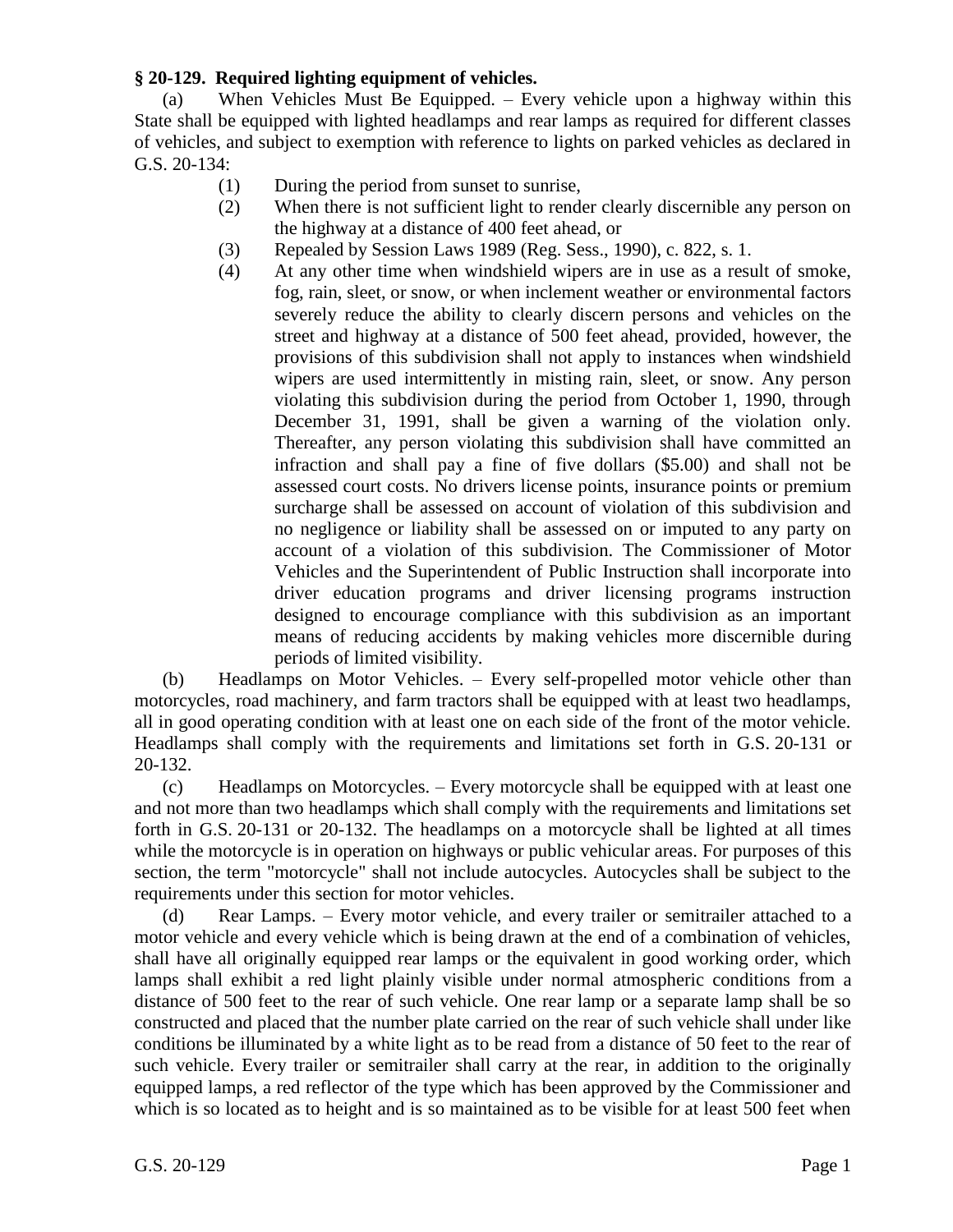## **§ 20-129. Required lighting equipment of vehicles.**

(a) When Vehicles Must Be Equipped. – Every vehicle upon a highway within this State shall be equipped with lighted headlamps and rear lamps as required for different classes of vehicles, and subject to exemption with reference to lights on parked vehicles as declared in G.S. 20-134:

- (1) During the period from sunset to sunrise,
- (2) When there is not sufficient light to render clearly discernible any person on the highway at a distance of 400 feet ahead, or
- (3) Repealed by Session Laws 1989 (Reg. Sess., 1990), c. 822, s. 1.
- (4) At any other time when windshield wipers are in use as a result of smoke, fog, rain, sleet, or snow, or when inclement weather or environmental factors severely reduce the ability to clearly discern persons and vehicles on the street and highway at a distance of 500 feet ahead, provided, however, the provisions of this subdivision shall not apply to instances when windshield wipers are used intermittently in misting rain, sleet, or snow. Any person violating this subdivision during the period from October 1, 1990, through December 31, 1991, shall be given a warning of the violation only. Thereafter, any person violating this subdivision shall have committed an infraction and shall pay a fine of five dollars (\$5.00) and shall not be assessed court costs. No drivers license points, insurance points or premium surcharge shall be assessed on account of violation of this subdivision and no negligence or liability shall be assessed on or imputed to any party on account of a violation of this subdivision. The Commissioner of Motor Vehicles and the Superintendent of Public Instruction shall incorporate into driver education programs and driver licensing programs instruction designed to encourage compliance with this subdivision as an important means of reducing accidents by making vehicles more discernible during periods of limited visibility.

(b) Headlamps on Motor Vehicles. – Every self-propelled motor vehicle other than motorcycles, road machinery, and farm tractors shall be equipped with at least two headlamps, all in good operating condition with at least one on each side of the front of the motor vehicle. Headlamps shall comply with the requirements and limitations set forth in G.S. 20-131 or 20-132.

(c) Headlamps on Motorcycles. – Every motorcycle shall be equipped with at least one and not more than two headlamps which shall comply with the requirements and limitations set forth in G.S. 20-131 or 20-132. The headlamps on a motorcycle shall be lighted at all times while the motorcycle is in operation on highways or public vehicular areas. For purposes of this section, the term "motorcycle" shall not include autocycles. Autocycles shall be subject to the requirements under this section for motor vehicles.

(d) Rear Lamps. – Every motor vehicle, and every trailer or semitrailer attached to a motor vehicle and every vehicle which is being drawn at the end of a combination of vehicles, shall have all originally equipped rear lamps or the equivalent in good working order, which lamps shall exhibit a red light plainly visible under normal atmospheric conditions from a distance of 500 feet to the rear of such vehicle. One rear lamp or a separate lamp shall be so constructed and placed that the number plate carried on the rear of such vehicle shall under like conditions be illuminated by a white light as to be read from a distance of 50 feet to the rear of such vehicle. Every trailer or semitrailer shall carry at the rear, in addition to the originally equipped lamps, a red reflector of the type which has been approved by the Commissioner and which is so located as to height and is so maintained as to be visible for at least 500 feet when